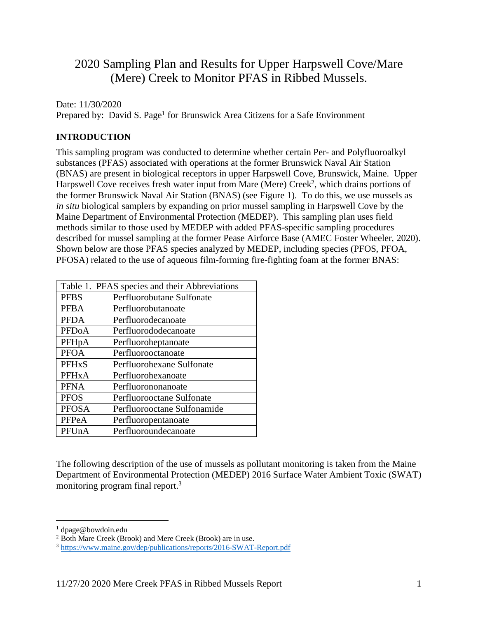# 2020 Sampling Plan and Results for Upper Harpswell Cove/Mare (Mere) Creek to Monitor PFAS in Ribbed Mussels.

Date: 11/30/2020

Prepared by: David S. Page<sup>1</sup> for Brunswick Area Citizens for a Safe Environment

## **INTRODUCTION**

This sampling program was conducted to determine whether certain Per- and Polyfluoroalkyl substances (PFAS) associated with operations at the former Brunswick Naval Air Station (BNAS) are present in biological receptors in upper Harpswell Cove, Brunswick, Maine. Upper Harpswell Cove receives fresh water input from Mare (Mere) Creek<sup>2</sup>, which drains portions of the former Brunswick Naval Air Station (BNAS) (see Figure 1). To do this, we use mussels as *in situ* biological samplers by expanding on prior mussel sampling in Harpswell Cove by the Maine Department of Environmental Protection (MEDEP). This sampling plan uses field methods similar to those used by MEDEP with added PFAS-specific sampling procedures described for mussel sampling at the former Pease Airforce Base (AMEC Foster Wheeler, 2020). Shown below are those PFAS species analyzed by MEDEP, including species (PFOS, PFOA, PFOSA) related to the use of aqueous film-forming fire-fighting foam at the former BNAS:

| Table 1. PFAS species and their Abbreviations |                             |  |  |  |
|-----------------------------------------------|-----------------------------|--|--|--|
| <b>PFBS</b>                                   | Perfluorobutane Sulfonate   |  |  |  |
| <b>PFBA</b>                                   | Perfluorobutanoate          |  |  |  |
| <b>PFDA</b>                                   | Perfluorodecanoate          |  |  |  |
| <b>PFDoA</b>                                  | Perfluorododecanoate        |  |  |  |
| PFH <sub>p</sub> A                            | Perfluoroheptanoate         |  |  |  |
| <b>PFOA</b>                                   | Perfluorooctanoate          |  |  |  |
| <b>PFHxS</b>                                  | Perfluorohexane Sulfonate   |  |  |  |
| PFH <sub>x</sub> A                            | Perfluorohexanoate          |  |  |  |
| <b>PFNA</b>                                   | Perfluorononanoate          |  |  |  |
| <b>PFOS</b>                                   | Perfluorooctane Sulfonate   |  |  |  |
| <b>PFOSA</b>                                  | Perfluorooctane Sulfonamide |  |  |  |
| PFPeA                                         | Perfluoropentanoate         |  |  |  |
| PFUnA                                         | Perfluoroundecanoate        |  |  |  |

The following description of the use of mussels as pollutant monitoring is taken from the Maine Department of Environmental Protection (MEDEP) 2016 Surface Water Ambient Toxic (SWAT) monitoring program final report.3

<sup>&</sup>lt;sup>1</sup> dpage@bowdoin.edu<br><sup>2</sup> Both Mare Creek (Brook) and Mere Creek (Brook) are in use.

 $3$  https://www.maine.gov/dep/publications/reports/2016-SWAT-Report.pdf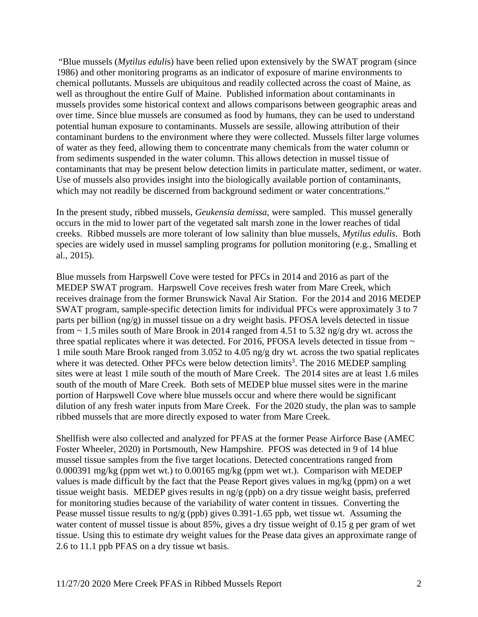"Blue mussels (*Mytilus eduli*s) have been relied upon extensively by the SWAT program (since 1986) and other monitoring programs as an indicator of exposure of marine environments to chemical pollutants. Mussels are ubiquitous and readily collected across the coast of Maine, as well as throughout the entire Gulf of Maine. Published information about contaminants in mussels provides some historical context and allows comparisons between geographic areas and over time. Since blue mussels are consumed as food by humans, they can be used to understand potential human exposure to contaminants. Mussels are sessile, allowing attribution of their contaminant burdens to the environment where they were collected. Mussels filter large volumes of water as they feed, allowing them to concentrate many chemicals from the water column or from sediments suspended in the water column. This allows detection in mussel tissue of contaminants that may be present below detection limits in particulate matter, sediment, or water. Use of mussels also provides insight into the biologically available portion of contaminants, which may not readily be discerned from background sediment or water concentrations."

In the present study, ribbed mussels, *Geukensia demissa*, were sampled. This mussel generally occurs in the mid to lower part of the vegetated salt marsh zone in the lower reaches of tidal creeks. Ribbed mussels are more tolerant of low salinity than blue mussels, *Mytilus edulis*. Both species are widely used in mussel sampling programs for pollution monitoring (e.g., Smalling et al., 2015).

Blue mussels from Harpswell Cove were tested for PFCs in 2014 and 2016 as part of the MEDEP SWAT program. Harpswell Cove receives fresh water from Mare Creek, which receives drainage from the former Brunswick Naval Air Station. For the 2014 and 2016 MEDEP SWAT program, sample-specific detection limits for individual PFCs were approximately 3 to 7 parts per billion (ng/g) in mussel tissue on a dry weight basis. PFOSA levels detected in tissue from ~ 1.5 miles south of Mare Brook in 2014 ranged from 4.51 to 5.32 ng/g dry wt. across the three spatial replicates where it was detected. For 2016, PFOSA levels detected in tissue from  $\sim$ 1 mile south Mare Brook ranged from 3.052 to 4.05 ng/g dry wt. across the two spatial replicates where it was detected. Other PFCs were below detection limits<sup>3</sup>. The 2016 MEDEP sampling sites were at least 1 mile south of the mouth of Mare Creek. The 2014 sites are at least 1.6 miles south of the mouth of Mare Creek. Both sets of MEDEP blue mussel sites were in the marine portion of Harpswell Cove where blue mussels occur and where there would be significant dilution of any fresh water inputs from Mare Creek. For the 2020 study, the plan was to sample ribbed mussels that are more directly exposed to water from Mare Creek.

Shellfish were also collected and analyzed for PFAS at the former Pease Airforce Base (AMEC Foster Wheeler, 2020) in Portsmouth, New Hampshire. PFOS was detected in 9 of 14 blue mussel tissue samples from the five target locations. Detected concentrations ranged from 0.000391 mg/kg (ppm wet wt.) to 0.00165 mg/kg (ppm wet wt.). Comparison with MEDEP values is made difficult by the fact that the Pease Report gives values in mg/kg (ppm) on a wet tissue weight basis. MEDEP gives results in ng/g (ppb) on a dry tissue weight basis, preferred for monitoring studies because of the variability of water content in tissues. Converting the Pease mussel tissue results to ng/g (ppb) gives 0.391-1.65 ppb, wet tissue wt. Assuming the water content of mussel tissue is about 85%, gives a dry tissue weight of 0.15 g per gram of wet tissue. Using this to estimate dry weight values for the Pease data gives an approximate range of 2.6 to 11.1 ppb PFAS on a dry tissue wt basis.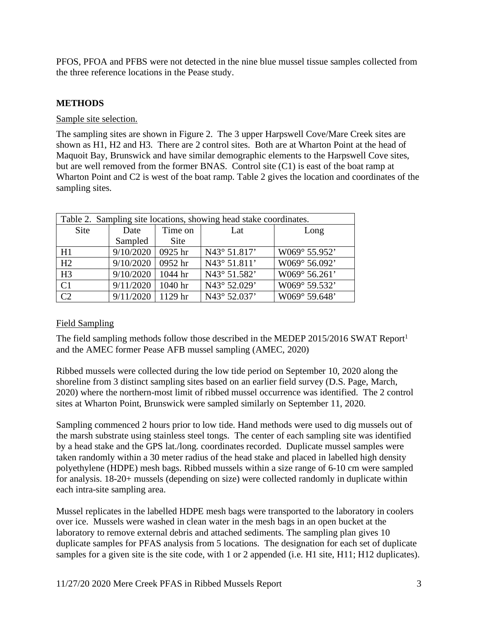PFOS, PFOA and PFBS were not detected in the nine blue mussel tissue samples collected from the three reference locations in the Pease study.

### **METHODS**

#### Sample site selection.

The sampling sites are shown in Figure 2. The 3 upper Harpswell Cove/Mare Creek sites are shown as H1, H2 and H3. There are 2 control sites. Both are at Wharton Point at the head of Maquoit Bay, Brunswick and have similar demographic elements to the Harpswell Cove sites, but are well removed from the former BNAS. Control site (C1) is east of the boat ramp at Wharton Point and C2 is west of the boat ramp. Table 2 gives the location and coordinates of the sampling sites.

| Table 2. Sampling site locations, showing head stake coordinates. |           |             |              |               |  |  |  |
|-------------------------------------------------------------------|-----------|-------------|--------------|---------------|--|--|--|
| Site                                                              | Date      |             | Lat          | Long          |  |  |  |
|                                                                   | Sampled   | <b>Site</b> |              |               |  |  |  |
| H1                                                                | 9/10/2020 | 0925 hr     | N43° 51.817' | W069° 55.952' |  |  |  |
| H2                                                                | 9/10/2020 | 0952 hr     | N43° 51.811' | W069° 56.092' |  |  |  |
| H <sub>3</sub>                                                    | 9/10/2020 | 1044 hr     | N43° 51.582' | W069° 56.261' |  |  |  |
| C <sub>1</sub>                                                    | 9/11/2020 | 1040 hr     | N43° 52.029' | W069° 59.532' |  |  |  |
| C2                                                                | 9/11/2020 | 1129 hr     | N43° 52.037' | W069° 59.648' |  |  |  |

### Field Sampling

The field sampling methods follow those described in the MEDEP 2015/2016 SWAT Report<sup>1</sup> and the AMEC former Pease AFB mussel sampling (AMEC, 2020)

Ribbed mussels were collected during the low tide period on September 10, 2020 along the shoreline from 3 distinct sampling sites based on an earlier field survey (D.S. Page, March, 2020) where the northern-most limit of ribbed mussel occurrence was identified. The 2 control sites at Wharton Point, Brunswick were sampled similarly on September 11, 2020.

Sampling commenced 2 hours prior to low tide. Hand methods were used to dig mussels out of the marsh substrate using stainless steel tongs. The center of each sampling site was identified by a head stake and the GPS lat./long. coordinates recorded. Duplicate mussel samples were taken randomly within a 30 meter radius of the head stake and placed in labelled high density polyethylene (HDPE) mesh bags. Ribbed mussels within a size range of 6-10 cm were sampled for analysis. 18-20+ mussels (depending on size) were collected randomly in duplicate within each intra-site sampling area.

Mussel replicates in the labelled HDPE mesh bags were transported to the laboratory in coolers over ice. Mussels were washed in clean water in the mesh bags in an open bucket at the laboratory to remove external debris and attached sediments. The sampling plan gives 10 duplicate samples for PFAS analysis from 5 locations. The designation for each set of duplicate samples for a given site is the site code, with 1 or 2 appended (i.e. H1 site, H11; H12 duplicates).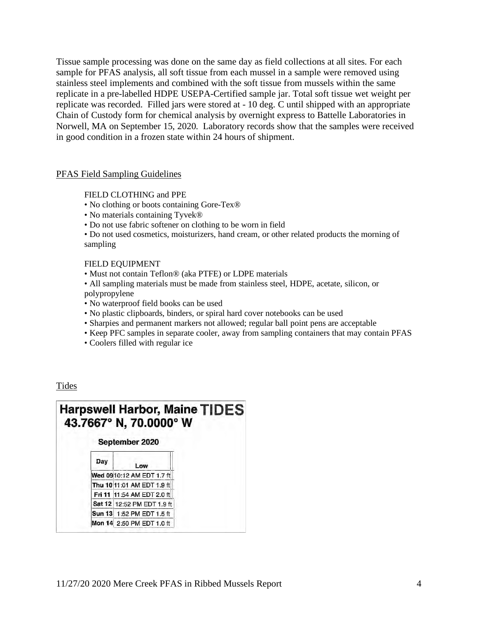Tissue sample processing was done on the same day as field collections at all sites. For each sample for PFAS analysis, all soft tissue from each mussel in a sample were removed using stainless steel implements and combined with the soft tissue from mussels within the same replicate in a pre-labelled HDPE USEPA-Certified sample jar. Total soft tissue wet weight per replicate was recorded. Filled jars were stored at - 10 deg. C until shipped with an appropriate Chain of Custody form for chemical analysis by overnight express to Battelle Laboratories in Norwell, MA on September 15, 2020. Laboratory records show that the samples were received in good condition in a frozen state within 24 hours of shipment.

#### PFAS Field Sampling Guidelines

FIELD CLOTHING and PPE

- No clothing or boots containing Gore-Tex®
- No materials containing Tyvek®
- Do not use fabric softener on clothing to be worn in field

• Do not used cosmetics, moisturizers, hand cream, or other related products the morning of sampling

#### FIELD EQUIPMENT

- Must not contain Teflon® (aka PTFE) or LDPE materials
- All sampling materials must be made from stainless steel, HDPE, acetate, silicon, or polypropylene
- No waterproof field books can be used
- No plastic clipboards, binders, or spiral hard cover notebooks can be used
- Sharpies and permanent markers not allowed; regular ball point pens are acceptable
- Keep PFC samples in separate cooler, away from sampling containers that may contain PFAS
- Coolers filled with regular ice

Tides

|     | 43.7667° N, 70.0000° W     | <b>Harpswell Harbor, Maine TIDES</b> |
|-----|----------------------------|--------------------------------------|
|     | September 2020             |                                      |
| Day | Low                        |                                      |
|     | Wed 0910:12 AM EDT 1.7 ft  |                                      |
|     | Thu 10 11:01 AM EDT 1.9 ft |                                      |
|     | Fri 11 11:54 AM EDT 2.0 ft |                                      |
|     | Sat 12 12:52 PM EDT 1.9 ft |                                      |
|     | Sun 13 1:52 PM EDT 1.5 ft  |                                      |
|     | Mon 14 2:50 PM EDT 1.0 ft  |                                      |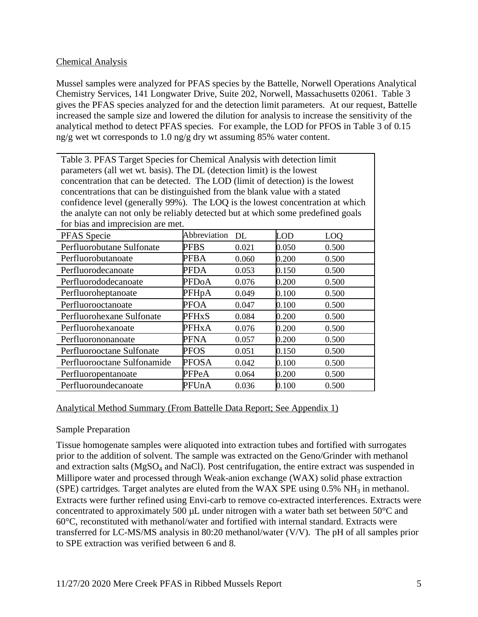### Chemical Analysis

Mussel samples were analyzed for PFAS species by the Battelle, Norwell Operations Analytical Chemistry Services, 141 Longwater Drive, Suite 202, Norwell, Massachusetts 02061. Table 3 gives the PFAS species analyzed for and the detection limit parameters. At our request, Battelle increased the sample size and lowered the dilution for analysis to increase the sensitivity of the analytical method to detect PFAS species. For example, the LOD for PFOS in Table 3 of 0.15 ng/g wet wt corresponds to 1.0 ng/g dry wt assuming 85% water content.

Table 3. PFAS Target Species for Chemical Analysis with detection limit parameters (all wet wt. basis). The DL (detection limit) is the lowest concentration that can be detected. The LOD (limit of detection) is the lowest concentrations that can be distinguished from the blank value with a stated confidence level (generally 99%). The LOQ is the lowest concentration at which the analyte can not only be reliably detected but at which some predefined goals for hias and imprecision are met.

| ror onas and miprocision are mon |              |       |       |                 |  |  |  |
|----------------------------------|--------------|-------|-------|-----------------|--|--|--|
| PFAS Specie                      | Abbreviation | DL.   | LOD   | LO <sub>O</sub> |  |  |  |
| Perfluorobutane Sulfonate        | <b>PFBS</b>  | 0.021 | 0.050 | 0.500           |  |  |  |
| Perfluorobutanoate               | PFBA         | 0.060 | 0.200 | 0.500           |  |  |  |
| Perfluorodecanoate               | PFDA         | 0.053 | 0.150 | 0.500           |  |  |  |
| Perfluorododecanoate             | <b>PFDoA</b> | 0.076 | 0.200 | 0.500           |  |  |  |
| Perfluoroheptanoate              | PFHpA        | 0.049 | 0.100 | 0.500           |  |  |  |
| Perfluorooctanoate               | <b>PFOA</b>  | 0.047 | 0.100 | 0.500           |  |  |  |
| Perfluorohexane Sulfonate        | <b>PFHxS</b> | 0.084 | 0.200 | 0.500           |  |  |  |
| Perfluorohexanoate               | <b>PFHxA</b> | 0.076 | 0.200 | 0.500           |  |  |  |
| Perfluorononanoate               | PFNA         | 0.057 | 0.200 | 0.500           |  |  |  |
| Perfluorooctane Sulfonate        | <b>PFOS</b>  | 0.051 | 0.150 | 0.500           |  |  |  |
| Perfluorooctane Sulfonamide      | <b>PFOSA</b> | 0.042 | 0.100 | 0.500           |  |  |  |
| Perfluoropentanoate              | PFPeA        | 0.064 | 0.200 | 0.500           |  |  |  |
| Perfluoroundecanoate             | PFUnA        | 0.036 | 0.100 | 0.500           |  |  |  |

### Analytical Method Summary (From Battelle Data Report; See Appendix 1)

#### Sample Preparation

Tissue homogenate samples were aliquoted into extraction tubes and fortified with surrogates prior to the addition of solvent. The sample was extracted on the Geno/Grinder with methanol and extraction salts ( $MgSO_4$  and NaCl). Post centrifugation, the entire extract was suspended in Millipore water and processed through Weak-anion exchange (WAX) solid phase extraction (SPE) cartridges. Target analytes are eluted from the WAX SPE using  $0.5\%$  NH<sub>3</sub> in methanol. Extracts were further refined using Envi-carb to remove co-extracted interferences. Extracts were concentrated to approximately 500  $\mu$ L under nitrogen with a water bath set between 50 $\degree$ C and 60°C, reconstituted with methanol/water and fortified with internal standard. Extracts were transferred for LC-MS/MS analysis in 80:20 methanol/water (V/V). The pH of all samples prior to SPE extraction was verified between 6 and 8.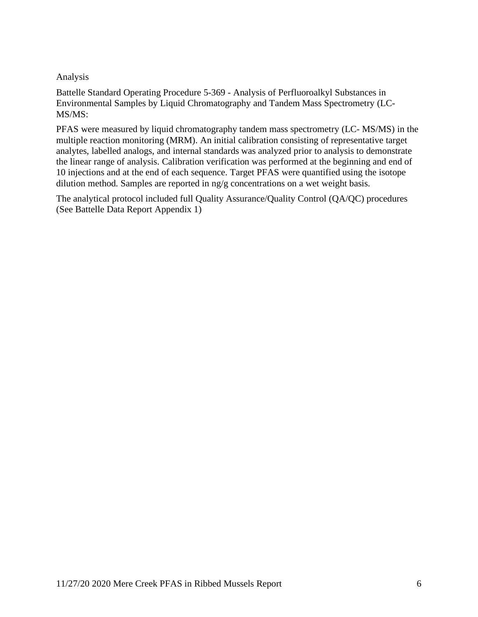### Analysis

Battelle Standard Operating Procedure 5-369 - Analysis of Perfluoroalkyl Substances in Environmental Samples by Liquid Chromatography and Tandem Mass Spectrometry (LC-MS/MS:

PFAS were measured by liquid chromatography tandem mass spectrometry (LC- MS/MS) in the multiple reaction monitoring (MRM). An initial calibration consisting of representative target analytes, labelled analogs, and internal standards was analyzed prior to analysis to demonstrate the linear range of analysis. Calibration verification was performed at the beginning and end of 10 injections and at the end of each sequence. Target PFAS were quantified using the isotope dilution method. Samples are reported in ng/g concentrations on a wet weight basis.

The analytical protocol included full Quality Assurance/Quality Control (QA/QC) procedures (See Battelle Data Report Appendix 1)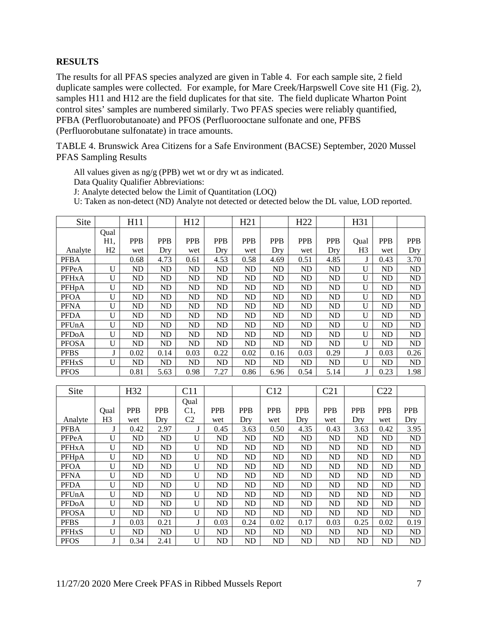## **RESULTS**

The results for all PFAS species analyzed are given in Table 4. For each sample site, 2 field duplicate samples were collected. For example, for Mare Creek/Harpswell Cove site H1 (Fig. 2), samples H11 and H12 are the field duplicates for that site. The field duplicate Wharton Point control sites' samples are numbered similarly. Two PFAS species were reliably quantified, PFBA (Perfluorobutanoate) and PFOS (Perfluorooctane sulfonate and one, PFBS (Perfluorobutane sulfonatate) in trace amounts.

TABLE 4. Brunswick Area Citizens for a Safe Environment (BACSE) September, 2020 Mussel PFAS Sampling Results

All values given as ng/g (PPB) wet wt or dry wt as indicated.

Data Quality Qualifier Abbreviations:

J: Analyte detected below the Limit of Quantitation (LOQ)

U: Taken as non-detect (ND) Analyte not detected or detected below the DL value, LOD reported.

| Site         |                     | H11            |                | H <sub>12</sub> |            | H21            |                | H <sub>22</sub> |            | H31            |            |                |
|--------------|---------------------|----------------|----------------|-----------------|------------|----------------|----------------|-----------------|------------|----------------|------------|----------------|
|              | Qual                |                |                |                 |            |                |                |                 |            |                |            |                |
|              | H1,                 | <b>PPB</b>     | <b>PPB</b>     | <b>PPB</b>      | <b>PPB</b> | <b>PPB</b>     | <b>PPB</b>     | <b>PPB</b>      | <b>PPB</b> | Qual           | <b>PPB</b> | <b>PPB</b>     |
| Analyte      | H2                  | wet            | Dry            | wet             | Dry        | wet            | Dry            | wet             | Dry        | H <sub>3</sub> | wet        | Dry            |
| <b>PFBA</b>  |                     | 0.68           | 4.73           | 0.61            | 4.53       | 0.58           | 4.69           | 0.51            | 4.85       | J              | 0.43       | 3.70           |
| PFPeA        | U                   | N <sub>D</sub> | ND             | ND              | ND         | ND             | <b>ND</b>      | N <sub>D</sub>  | ${\rm ND}$ | U              | <b>ND</b>  | ND             |
| <b>PFHxA</b> | U                   | ND             | ND             | ND              | ND         | ND             | <b>ND</b>      | <b>ND</b>       | ${\rm ND}$ | $\mathbf U$    | <b>ND</b>  | ND             |
| PFHpA        | U                   | ND             | ND             | ND              | ND         | ND             | <b>ND</b>      | <b>ND</b>       | ${\rm ND}$ | U              | <b>ND</b>  | ND             |
| <b>PFOA</b>  | U                   | ND             | ND             | ND              | ND         | ND             | <b>ND</b>      | <b>ND</b>       | ${\rm ND}$ | U              | <b>ND</b>  | ND             |
| <b>PFNA</b>  | U                   | <b>ND</b>      | N <sub>D</sub> | N <sub>D</sub>  | ND         | ND             | <b>ND</b>      | <b>ND</b>       | ND         | U              | <b>ND</b>  | N <sub>D</sub> |
| <b>PFDA</b>  | U                   | ND             | <b>ND</b>      | ND              | ND         | ND             | <b>ND</b>      | <b>ND</b>       | ND         | $\mathbf U$    | <b>ND</b>  | ND             |
| PFUnA        | U                   | <b>ND</b>      | <b>ND</b>      | ND              | <b>ND</b>  | N <sub>D</sub> | <b>ND</b>      | <b>ND</b>       | <b>ND</b>  | U              | <b>ND</b>  | N <sub>D</sub> |
| <b>PFDoA</b> | U                   | <b>ND</b>      | N <sub>D</sub> | N <sub>D</sub>  | <b>ND</b>  | ND             | <b>ND</b>      | <b>ND</b>       | ND         | U              | <b>ND</b>  | N <sub>D</sub> |
| <b>PFOSA</b> | U                   | N <sub>D</sub> | ND             | ND              | ND         | ND             | N <sub>D</sub> | N <sub>D</sub>  | ND         | U              | <b>ND</b>  | ND             |
| <b>PFBS</b>  | J                   | 0.02           | 0.14           | 0.03            | 0.22       | 0.02           | 0.16           | 0.03            | 0.29       | $\bf J$        | 0.03       | 0.26           |
| <b>PFHxS</b> | U                   | <b>ND</b>      | <b>ND</b>      | <b>ND</b>       | ND         | ND             | <b>ND</b>      | <b>ND</b>       | <b>ND</b>  | U              | <b>ND</b>  | ND             |
| <b>PFOS</b>  |                     | 0.81           | 5.63           | 0.98            | 7.27       | 0.86           | 6.96           | 0.54            | 5.14       | $\mathbf{I}$   | 0.23       | 1.98           |
|              |                     |                |                |                 |            |                |                |                 |            |                |            |                |
| Site         |                     | H32            |                | C11             |            |                | C12            |                 | C21        |                | C22        |                |
|              |                     |                |                | Qual            |            |                |                |                 |            |                |            |                |
|              | Qual                | <b>PPB</b>     | <b>PPB</b>     | C1,             | <b>PPB</b> | <b>PPB</b>     | PPB            | PPB             | <b>PPB</b> | <b>PPB</b>     | <b>PPB</b> | PPB            |
| Analyte      | H <sub>3</sub>      | wet            | Dry            | C <sub>2</sub>  | wet        | Dry            | wet            | Dry             | wet        | Dry            | wet        | Dry            |
| <b>PFBA</b>  | J                   | 0.42           | 2.97           | $\mathbf{J}$    | 0.45       | 3.63           | 0.50           | 4.35            | 0.43       | 3.63           | 0.42       | 3.95           |
| PFPeA        | U                   | ND             | ND             | ${\bf U}$       | ND         | ND             | <b>ND</b>      | <b>ND</b>       | <b>ND</b>  | <b>ND</b>      | <b>ND</b>  | ND             |
| <b>PFHxA</b> | U                   | <b>ND</b>      | N <sub>D</sub> | $\mathbf U$     | <b>ND</b>  | ND             | <b>ND</b>      | <b>ND</b>       | <b>ND</b>  | <b>ND</b>      | <b>ND</b>  | <b>ND</b>      |
| PFHpA        | U                   | N <sub>D</sub> | ND             | ${\bf U}$       | ND         | N <sub>D</sub> | <b>ND</b>      | N <sub>D</sub>  | ND         | N <sub>D</sub> | <b>ND</b>  | ND             |
| <b>PFOA</b>  | U                   | <b>ND</b>      | N <sub>D</sub> | $\mathbf U$     | <b>ND</b>  | N <sub>D</sub> | <b>ND</b>      | <b>ND</b>       | <b>ND</b>  | N <sub>D</sub> | <b>ND</b>  | N <sub>D</sub> |
| <b>PFNA</b>  | U                   | <b>ND</b>      | N <sub>D</sub> | $\mathbf U$     | <b>ND</b>  | ND             | N <sub>D</sub> | <b>ND</b>       | ND         | <b>ND</b>      | <b>ND</b>  | ND             |
| <b>PFDA</b>  | U                   | ND             | ND             | $\mathbf U$     | ND         | ND             | <b>ND</b>      | <b>ND</b>       | ${\rm ND}$ | N <sub>D</sub> | <b>ND</b>  | ND             |
| PFUnA        | U                   | <b>ND</b>      | ND             | $\mathbf U$     | ND         | <b>ND</b>      | <b>ND</b>      | <b>ND</b>       | <b>ND</b>  | N <sub>D</sub> | <b>ND</b>  | N <sub>D</sub> |
| <b>PFDoA</b> | U                   | ND             | ND             | $\mathbf U$     | ND         | ND             | <b>ND</b>      | <b>ND</b>       | <b>ND</b>  | <b>ND</b>      | <b>ND</b>  | ND             |
| <b>PFOSA</b> | U                   | <b>ND</b>      | ND             | $\mathbf U$     | ND         | ND             | <b>ND</b>      | <b>ND</b>       | ND         | N <sub>D</sub> | <b>ND</b>  | ND             |
| <b>PFBS</b>  |                     |                |                |                 |            |                |                |                 | 0.03       | 0.25           | 0.02       | 0.19           |
|              | J<br>$\overline{U}$ | 0.03           | 0.21           | J               | 0.03       | 0.24           | 0.02           | 0.17            |            |                |            |                |

PFOS J J 0.34 2.41 U ND ND ND ND ND ND ND ND ND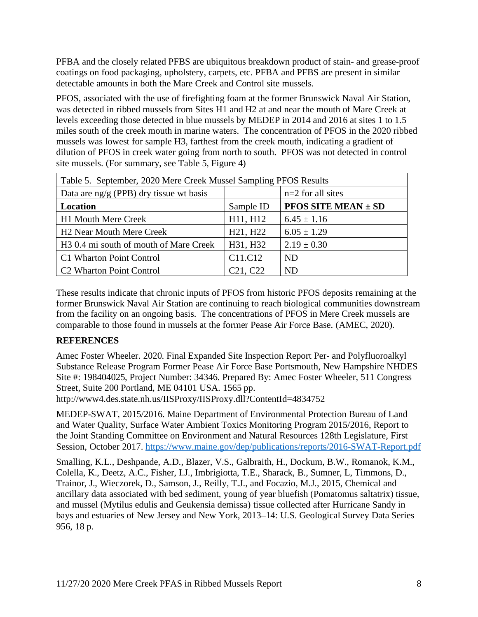PFBA and the closely related PFBS are ubiquitous breakdown product of stain- and grease-proof coatings on food packaging, upholstery, carpets, etc. PFBA and PFBS are present in similar detectable amounts in both the Mare Creek and Control site mussels.

PFOS, associated with the use of firefighting foam at the former Brunswick Naval Air Station, was detected in ribbed mussels from Sites H1 and H2 at and near the mouth of Mare Creek at levels exceeding those detected in blue mussels by MEDEP in 2014 and 2016 at sites 1 to 1.5 miles south of the creek mouth in marine waters. The concentration of PFOS in the 2020 ribbed mussels was lowest for sample H3, farthest from the creek mouth, indicating a gradient of dilution of PFOS in creek water going from north to south. PFOS was not detected in control site mussels. (For summary, see Table 5, Figure 4)

| Table 5. September, 2020 Mere Creek Mussel Sampling PFOS Results |                                   |                                           |  |  |  |  |
|------------------------------------------------------------------|-----------------------------------|-------------------------------------------|--|--|--|--|
| Data are $\frac{ng}{g}$ (PPB) dry tissue wt basis                |                                   | $n=2$ for all sites                       |  |  |  |  |
| Location                                                         | Sample ID                         | <b>PFOS SITE MEAN <math>\pm</math> SD</b> |  |  |  |  |
| <b>H1 Mouth Mere Creek</b>                                       | H11, H12                          | $6.45 \pm 1.16$                           |  |  |  |  |
| H <sub>2</sub> Near Mouth Mere Creek                             | H <sub>21</sub> , H <sub>22</sub> | $6.05 \pm 1.29$                           |  |  |  |  |
| H <sub>3</sub> 0.4 mi south of mouth of Mare Creek               | H31, H32                          | $2.19 \pm 0.30$                           |  |  |  |  |
| C1 Wharton Point Control                                         | C <sub>11</sub> .C <sub>12</sub>  | ND.                                       |  |  |  |  |
| C <sub>2</sub> Wharton Point Control                             | C <sub>21</sub> , C <sub>22</sub> | ND.                                       |  |  |  |  |

These results indicate that chronic inputs of PFOS from historic PFOS deposits remaining at the former Brunswick Naval Air Station are continuing to reach biological communities downstream from the facility on an ongoing basis. The concentrations of PFOS in Mere Creek mussels are comparable to those found in mussels at the former Pease Air Force Base. (AMEC, 2020).

## **REFERENCES**

Amec Foster Wheeler. 2020. Final Expanded Site Inspection Report Per- and Polyfluoroalkyl Substance Release Program Former Pease Air Force Base Portsmouth, New Hampshire NHDES Site #: 198404025, Project Number: 34346. Prepared By: Amec Foster Wheeler, 511 Congress Street, Suite 200 Portland, ME 04101 USA. 1565 pp.

http://www4.des.state.nh.us/IISProxy/IISProxy.dll?ContentId=4834752

MEDEP-SWAT, 2015/2016. Maine Department of Environmental Protection Bureau of Land and Water Quality, Surface Water Ambient Toxics Monitoring Program 2015/2016, Report to the Joint Standing Committee on Environment and Natural Resources 128th Legislature, First Session, October 2017. https://www.maine.gov/dep/publications/reports/2016-SWAT-Report.pdf

Smalling, K.L., Deshpande, A.D., Blazer, V.S., Galbraith, H., Dockum, B.W., Romanok, K.M., Colella, K., Deetz, A.C., Fisher, I.J., Imbrigiotta, T.E., Sharack, B., Sumner, L, Timmons, D., Trainor, J., Wieczorek, D., Samson, J., Reilly, T.J., and Focazio, M.J., 2015, Chemical and ancillary data associated with bed sediment, young of year bluefish (Pomatomus saltatrix) tissue, and mussel (Mytilus edulis and Geukensia demissa) tissue collected after Hurricane Sandy in bays and estuaries of New Jersey and New York, 2013–14: U.S. Geological Survey Data Series 956, 18 p.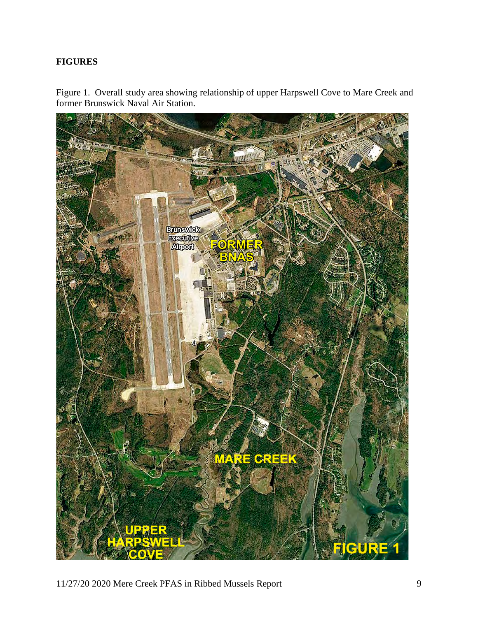## **FIGURES**

Figure 1. Overall study area showing relationship of upper Harpswell Cove to Mare Creek and former Brunswick Naval Air Station.

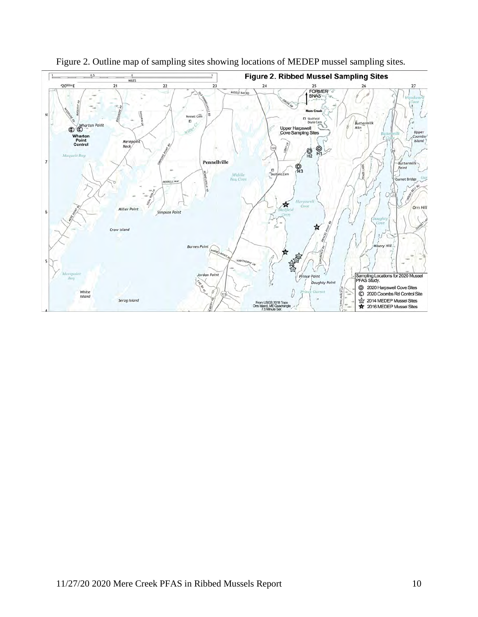

Figure 2. Outline map of sampling sites showing locations of MEDEP mussel sampling sites.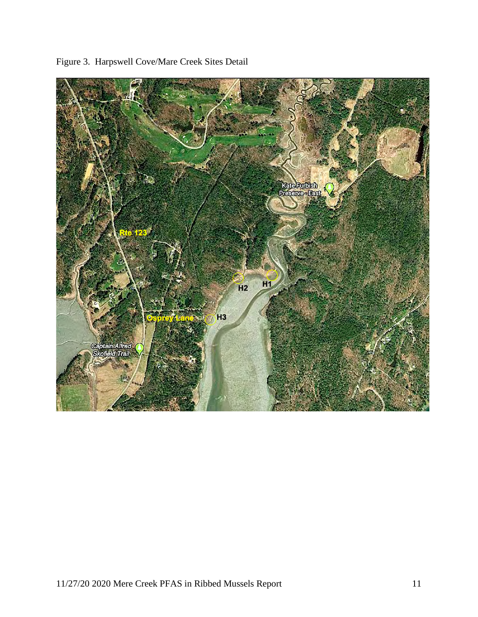

Figure 3. Harpswell Cove/Mare Creek Sites Detail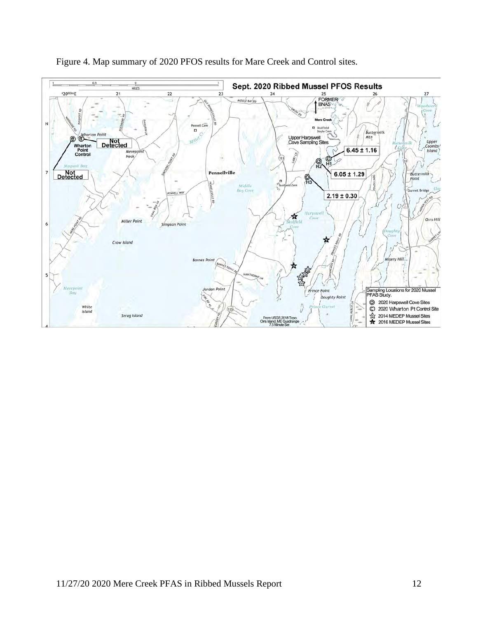

Figure 4. Map summary of 2020 PFOS results for Mare Creek and Control sites.